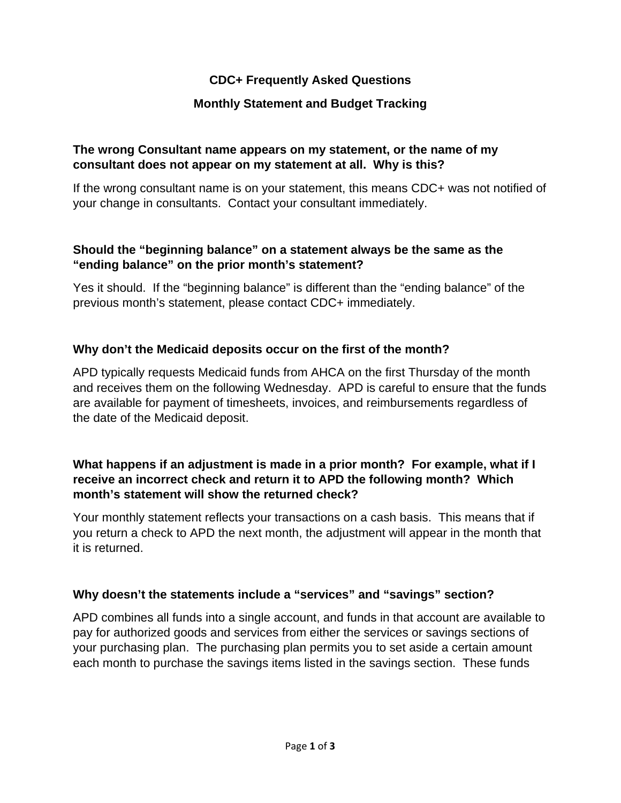# **CDC+ Frequently Asked Questions**

## **Monthly Statement and Budget Tracking**

#### **The wrong Consultant name appears on my statement, or the name of my consultant does not appear on my statement at all. Why is this?**

If the wrong consultant name is on your statement, this means CDC+ was not notified of your change in consultants. Contact your consultant immediately.

#### **Should the "beginning balance" on a statement always be the same as the "ending balance" on the prior month's statement?**

Yes it should. If the "beginning balance" is different than the "ending balance" of the previous month's statement, please contact CDC+ immediately.

### **Why don't the Medicaid deposits occur on the first of the month?**

APD typically requests Medicaid funds from AHCA on the first Thursday of the month and receives them on the following Wednesday. APD is careful to ensure that the funds are available for payment of timesheets, invoices, and reimbursements regardless of the date of the Medicaid deposit.

### **What happens if an adjustment is made in a prior month? For example, what if I receive an incorrect check and return it to APD the following month? Which month's statement will show the returned check?**

Your monthly statement reflects your transactions on a cash basis. This means that if you return a check to APD the next month, the adjustment will appear in the month that it is returned.

### **Why doesn't the statements include a "services" and "savings" section?**

APD combines all funds into a single account, and funds in that account are available to pay for authorized goods and services from either the services or savings sections of your purchasing plan. The purchasing plan permits you to set aside a certain amount each month to purchase the savings items listed in the savings section. These funds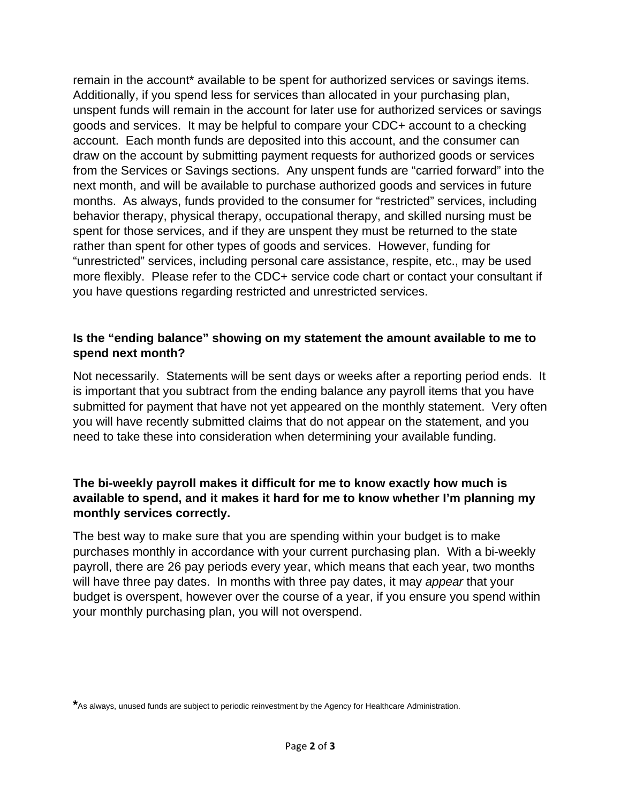remain in the account\* available to be spent for authorized services or savings items. Additionally, if you spend less for services than allocated in your purchasing plan, unspent funds will remain in the account for later use for authorized services or savings goods and services. It may be helpful to compare your CDC+ account to a checking account. Each month funds are deposited into this account, and the consumer can draw on the account by submitting payment requests for authorized goods or services from the Services or Savings sections. Any unspent funds are "carried forward" into the next month, and will be available to purchase authorized goods and services in future months. As always, funds provided to the consumer for "restricted" services, including behavior therapy, physical therapy, occupational therapy, and skilled nursing must be spent for those services, and if they are unspent they must be returned to the state rather than spent for other types of goods and services. However, funding for "unrestricted" services, including personal care assistance, respite, etc., may be used more flexibly. Please refer to the CDC+ service code chart or contact your consultant if you have questions regarding restricted and unrestricted services.

### **Is the "ending balance" showing on my statement the amount available to me to spend next month?**

Not necessarily. Statements will be sent days or weeks after a reporting period ends. It is important that you subtract from the ending balance any payroll items that you have submitted for payment that have not yet appeared on the monthly statement. Very often you will have recently submitted claims that do not appear on the statement, and you need to take these into consideration when determining your available funding.

## **The bi-weekly payroll makes it difficult for me to know exactly how much is available to spend, and it makes it hard for me to know whether I'm planning my monthly services correctly.**

The best way to make sure that you are spending within your budget is to make purchases monthly in accordance with your current purchasing plan. With a bi-weekly payroll, there are 26 pay periods every year, which means that each year, two months will have three pay dates. In months with three pay dates, it may *appear* that your budget is overspent, however over the course of a year, if you ensure you spend within your monthly purchasing plan, you will not overspend.

**<sup>\*</sup>**As always, unused funds are subject to periodic reinvestment by the Agency for Healthcare Administration.